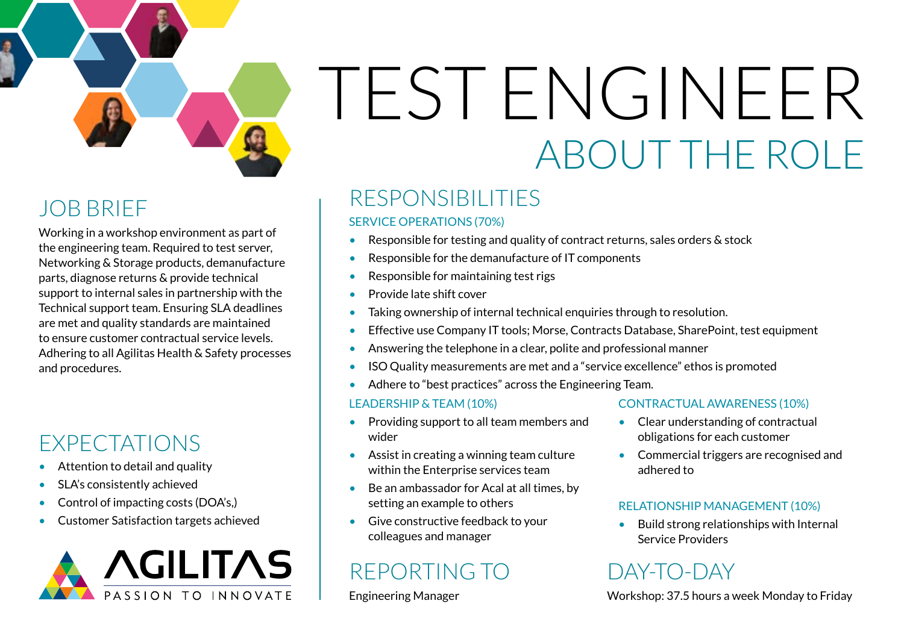# TEST ENGINEER ABOUT THE ROLE

## JOB BRIEF

Working in a workshop environment as part of the engineering team. Required to test server, Networking & Storage products, demanufacture parts, diagnose returns & provide technical support to internal sales in partnership with the Technical support team. Ensuring SLA deadlines are met and quality standards are maintained to ensure customer contractual service levels. Adhering to all Agilitas Health & Safety processes and procedures.

## EXPECTATIONS

- Attention to detail and quality
- SLA's consistently achieved
- Control of impacting costs (DOA's,)
- Customer Satisfaction targets achieved



## RESPONSIBILITIES

#### SERVICE OPERATIONS (70%)

- Responsible for testing and quality of contract returns, sales orders & stock
- Responsible for the demanufacture of IT components
- Responsible for maintaining test rigs
- Provide late shift cover
- Taking ownership of internal technical enquiries through to resolution.
- Effective use Company IT tools; Morse, Contracts Database, SharePoint, test equipment
- Answering the telephone in a clear, polite and professional manner
- ISO Quality measurements are met and a "service excellence" ethos is promoted
- Adhere to "best practices" across the Engineering Team.

#### LEADERSHIP & TEAM (10%)

- Providing support to all team members and wider
- Assist in creating a winning team culture within the Enterprise services team
- Be an ambassador for Acal at all times, by setting an example to others
- Give constructive feedback to your colleagues and manager

## REPORTING TO

#### Engineering Manager

#### CONTRACTUAL AWARENESS (10%)

- Clear understanding of contractual obligations for each customer
- Commercial triggers are recognised and adhered to

#### RELATIONSHIP MANAGEMENT (10%)

• Build strong relationships with Internal Service Providers

## DAY-TO-DAY

Workshop: 37.5 hours a week Monday to Friday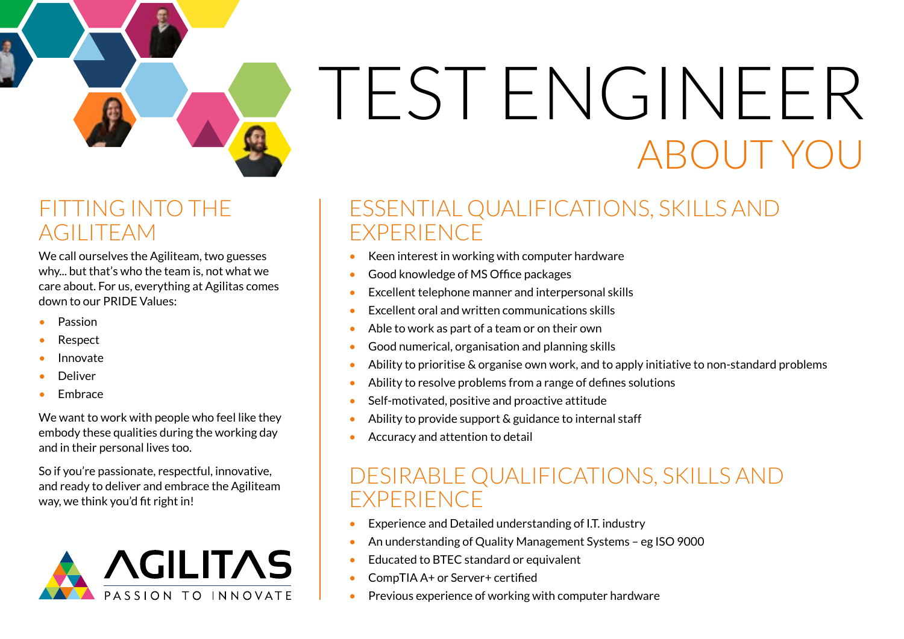## ABOUT YO TEST ENGINEER

## FITTING INTO THE AGILITEAM

We call ourselves the Agiliteam, two guesses why... but that's who the team is, not what we care about. For us, everything at Agilitas comes down to our PRIDE Values:

- Passion
- Respect
- Innovate
- **Deliver**
- Embrace

We want to work with people who feel like they embody these qualities during the working day and in their personal lives too.

So if you're passionate, respectful, innovative, and ready to deliver and embrace the Agiliteam way, we think you'd fit right in!



## ESSENTIAL QUALIFICATIONS, SKILLS AND EXPERIENCE

- Keen interest in working with computer hardware
- Good knowledge of MS Office packages
- Excellent telephone manner and interpersonal skills
- Excellent oral and written communications skills
- Able to work as part of a team or on their own
- Good numerical, organisation and planning skills
- Ability to prioritise & organise own work, and to apply initiative to non-standard problems
- Ability to resolve problems from a range of defines solutions
- Self-motivated, positive and proactive attitude
- Ability to provide support & guidance to internal staff
- Accuracy and attention to detail

### DESIRABLE QUALIFICATIONS, SKILLS AND EXPERIENCE

- Experience and Detailed understanding of I.T. industry
- An understanding of Quality Management Systems eg ISO 9000
- Educated to BTEC standard or equivalent
- CompTIA A+ or Server+ certified
- Previous experience of working with computer hardware